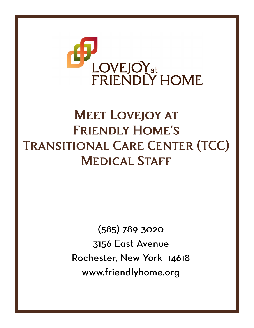

## **MEET LOVEJOY AT FRIENDLY HOME'S TRANSITIONAL CARE CENTER (TCC) MEDICAL STAFF**

 $(585)$  789-3020 3156 East Avenue Rochester, New York 14618 www.friendlyhome.org